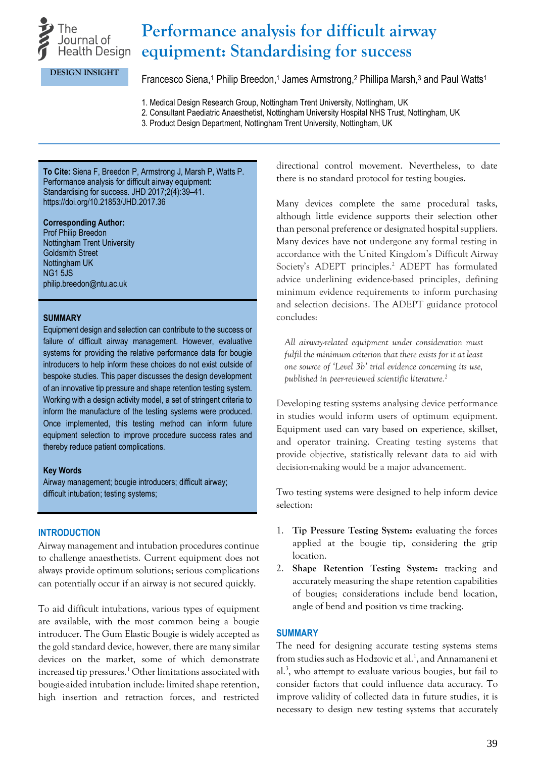

# **Performance analysis for difficult airway equipment: Standardising for success**

**DESIGN INSIGHT**

Francesco Siena,<sup>1</sup> Philip Breedon,<sup>1</sup> James Armstrong,<sup>2</sup> Phillipa Marsh,<sup>3</sup> and Paul Watts<sup>1</sup>

1. Medical Design Research Group, Nottingham Trent University, Nottingham, UK

- 2. Consultant Paediatric Anaesthetist, Nottingham University Hospital NHS Trust, Nottingham, UK
- 3. Product Design Department, Nottingham Trent University, Nottingham, UK

**To Cite:** Siena F, Breedon P, Armstrong J, Marsh P, Watts P. Performance analysis for difficult airway equipment: Standardising for success. JHD 2017;2(4):39–41. https://doi.org/10.21853/JHD.2017.36

## **Corresponding Author:**

Prof Philip Breedon Nottingham Trent University Goldsmith Street Nottingham UK NG1 5JS philip.breedon@ntu.ac.uk

## **SUMMARY**

Equipment design and selection can contribute to the success or failure of difficult airway management. However, evaluative systems for providing the relative performance data for bougie introducers to help inform these choices do not exist outside of bespoke studies. This paper discusses the design development of an innovative tip pressure and shape retention testing system. Working with a design activity model, a set of stringent criteria to inform the manufacture of the testing systems were produced. Once implemented, this testing method can inform future equipment selection to improve procedure success rates and thereby reduce patient complications.

## **Key Words**

Airway management; bougie introducers; difficult airway; difficult intubation; testing systems;

## **INTRODUCTION**

Airway management and intubation procedures continue to challenge anaesthetists. Current equipment does not always provide optimum solutions; serious complications can potentially occur if an airway is not secured quickly.

To aid difficult intubations, various types of equipment are available, with the most common being a bougie introducer. The Gum Elastic Bougie is widely accepted as the gold standard device, however, there are many similar devices on the market, some of which demonstrate increased tip pressures.<sup>1</sup> Other limitations associated with bougie-aided intubation include: limited shape retention, high insertion and retraction forces, and restricted directional control movement. Nevertheless, to date there is no standard protocol for testing bougies.

Many devices complete the same procedural tasks, although little evidence supports their selection other than personal preference or designated hospital suppliers. Many devices have not undergone any formal testing in accordance with the United Kingdom's Difficult Airway Society's ADEPT principles. <sup>2</sup> ADEPT has formulated advice underlining evidence-based principles, defining minimum evidence requirements to inform purchasing and selection decisions. The ADEPT guidance protocol concludes:

*All airway-related equipment under consideration must fulfil the minimum criterion that there exists for it at least one source of 'Level 3b' trial evidence concerning its use, published in peer-reviewed scientific literature.<sup>2</sup>*

Developing testing systems analysing device performance in studies would inform users of optimum equipment. Equipment used can vary based on experience, skillset, and operator training. Creating testing systems that provide objective, statistically relevant data to aid with decision-making would be a major advancement.

Two testing systems were designed to help inform device selection:

- 1. **Tip Pressure Testing System:** evaluating the forces applied at the bougie tip, considering the grip location.
- 2. **Shape Retention Testing System:** tracking and accurately measuring the shape retention capabilities of bougies; considerations include bend location, angle of bend and position vs time tracking.

# **SUMMARY**

The need for designing accurate testing systems stems from studies such as Hodzovic et al.<sup>1</sup>, and Annamaneni et al.<sup>3</sup> , who attempt to evaluate various bougies, but fail to consider factors that could influence data accuracy. To improve validity of collected data in future studies, it is necessary to design new testing systems that accurately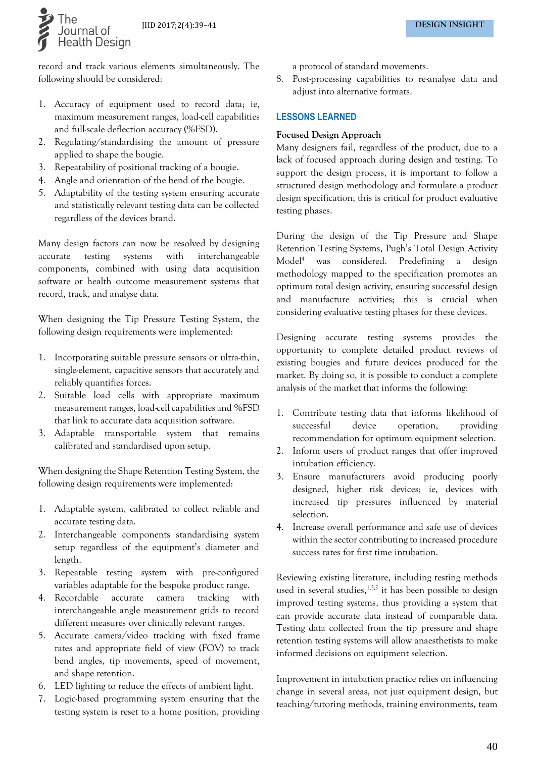

record and track various elements simultaneously. The following should be considered:

- 1. Accuracy of equipment used to record data; ie, maximum measurement ranges, load-cell capabilities and full-scale deflection accuracy (%FSD).
- 2. Regulating/standardising the amount of pressure applied to shape the bougie.
- 3. Repeatability of positional tracking of a bougie.
- 4. Angle and orientation of the bend of the bougie.
- 5. Adaptability of the testing system ensuring accurate and statistically relevant testing data can be collected regardless of the devices brand.

Many design factors can now be resolved by designing accurate testing systems with interchangeable components, combined with using data acquisition software or health outcome measurement systems that record, track, and analyse data.

When designing the Tip Pressure Testing System, the following design requirements were implemented:

- 1. Incorporating suitable pressure sensors or ultra-thin, single-element, capacitive sensors that accurately and reliably quantifies forces.
- 2. Suitable load cells with appropriate maximum measurement ranges, load-cell capabilities and %FSD that link to accurate data acquisition software.
- 3. Adaptable transportable system that remains calibrated and standardised upon setup.

When designing the Shape Retention Testing System, the following design requirements were implemented:

- 1. Adaptable system, calibrated to collect reliable and accurate testing data.
- 2. Interchangeable components standardising system setup regardless of the equipment's diameter and length.
- 3. Repeatable testing system with pre-configured variables adaptable for the bespoke product range.
- 4. Recordable accurate camera tracking with interchangeable angle measurement grids to record different measures over clinically relevant ranges.
- 5. Accurate camera/video tracking with fixed frame rates and appropriate field of view (FOV) to track bend angles, tip movements, speed of movement, and shape retention.
- 6. LED lighting to reduce the effects of ambient light.
- 7. Logic-based programming system ensuring that the testing system is reset to a home position, providing

a protocol of standard movements.

8. Post-processing capabilities to re-analyse data and adjust into alternative formats.

# **LESSONS LEARNED**

## **Focused Design Approach**

Many designers fail, regardless of the product, due to a lack of focused approach during design and testing. To support the design process, it is important to follow a structured design methodology and formulate a product design specification; this is critical for product evaluative testing phases.

During the design of the Tip Pressure and Shape Retention Testing Systems, Pugh's Total Design Activity Model<sup>4</sup> was considered. Predefining a design methodology mapped to the specification promotes an optimum total design activity, ensuring successful design and manufacture activities; this is crucial when considering evaluative testing phases for these devices.

Designing accurate testing systems provides the opportunity to complete detailed product reviews of existing bougies and future devices produced for the market. By doing so, it is possible to conduct a complete analysis of the market that informs the following:

- 1. Contribute testing data that informs likelihood of successful device operation, providing recommendation for optimum equipment selection.
- 2. Inform users of product ranges that offer improved intubation efficiency.
- 3. Ensure manufacturers avoid producing poorly designed, higher risk devices; ie, devices with increased tip pressures influenced by material selection.
- 4. Increase overall performance and safe use of devices within the sector contributing to increased procedure success rates for first time intubation.

Reviewing existing literature, including testing methods used in several studies, $1,3,5$  it has been possible to design improved testing systems, thus providing a system that can provide accurate data instead of comparable data. Testing data collected from the tip pressure and shape retention testing systems will allow anaesthetists to make informed decisions on equipment selection.

Improvement in intubation practice relies on influencing change in several areas, not just equipment design, but teaching/tutoring methods, training environments, team